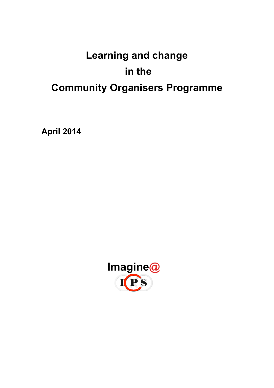# **Learning and change in the Community Organisers Programme**

**April 2014**

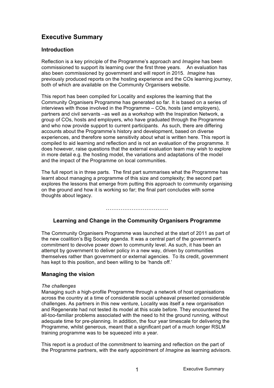# **Executive Summary**

#### **Introduction**

Reflection is a key principle of the Programme's approach and *Imagine* has been commissioned to support its learning over the first three years. An evaluation has also been commissioned by government and will report in 2015. *Imagine* has previously produced reports on the hosting experience and the COs learning journey, both of which are available on the Community Organisers website.

This report has been compiled for Locality and explores the learning that the Community Organisers Programme has generated so far. It is based on a series of interviews with those involved in the Programme – COs, hosts (and employers), partners and civil servants –as well as a workshop with the Inspiration Network, a group of COs, hosts and employers, who have graduated through the Programme and who now provide support to current participants. As such, there are differing accounts about the Programme's history and development, based on diverse experiences, and therefore some sensitivity about what is written here. This report is compiled to aid learning and reflection and is not an evaluation of the programme. It does however, raise questions that the external evaluation team may wish to explore in more detail e.g. the hosting model, the variations and adaptations of the model and the impact of the Programme on local communities.

The full report is in three parts. The first part summarises what the Programme has learnt about managing a programme of this size and complexity; the second part explores the lessons that emerge from putting this approach to community organising on the ground and how it is working so far; the final part concludes with some thoughts about legacy.

#### ……………………………………………

#### **Learning and Change in the Community Organisers Programme**

The Community Organisers Programme was launched at the start of 2011 as part of the new coalition's Big Society agenda. It was a central part of the government's commitment to devolve power down to community level. As such, it has been an attempt by government to deliver policy in a new way, driven by communities themselves rather than government or external agencies. To its credit, government has kept to this position, and been willing to be 'hands off.'

#### **Managing the vision**

#### *The challenges*

Managing such a high-profile Programme through a network of host organisations across the country at a time of considerable social upheaval presented considerable challenges. As partners in this new venture, Locality was itself a new organisation and Regenerate had not tested its model at this scale before. They encountered the all-too-familiar problems associated with the need to hit the ground running, without adequate time for pre-planning. In addition, the four year timescale for delivering the Programme, whilst generous, meant that a significant part of a much longer RSLM training programme was to be squeezed into a year.

This report is a product of the commitment to learning and reflection on the part of the Programme partners, with the early appointment of *Imagine* as learning advisors.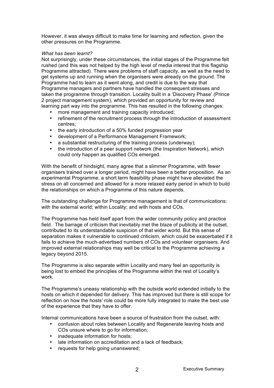However, it was always difficult to make time for learning and reflection, given the other pressures on the Programme.

#### *What has been learnt?*

Not surprisingly, under these circumstances, the initial stages of the Programme felt rushed (and this was not helped by the high level of media interest that this flagship Programme attracted). There were problems of staff capacity, as well as the need to get systems up and running when the organisers were already on the ground. The Programme had to learn as it went along, and credit is due to the way that Programme managers and partners have handled the consequent stresses and taken the programme through transition. Locality built in a 'Discovery Phase' (Prince 2 project management system), which provided an opportunity for review and learning part way into the programme. This has resulted in the following changes:

- more management and training capacity introduced;
- refinement of the recruitment process through the introduction of assessment centres;
- the early introduction of a 50% funded progression year
- development of a Performance Management Framework;
- a substantial restructuring of the training process (underway);
- the introduction of a peer support network (the Inspiration Network), which could only happen as qualified COs emerged.

With the benefit of hindsight, many agree that a slimmer Programme, with fewer organisers trained over a longer period, might have been a better proposition. As an experimental Programme, a short term feasibility phase might have alleviated the stress on all concerned and allowed for a more relaxed early period in which to build the relationships on which a Programme of this nature depends.

The outstanding challenge for Programme management is that of communications: with the external world; within Locality; and with hosts and COs.

The Programme has held itself apart from the wider community policy and practice field. The barrage of criticism that inevitably met the blaze of publicity at the outset, contributed to its understandable suspicion of that wider world. But this sense of separation makes it vulnerable to continued criticism, which could be exacerbated if it fails to achieve the much-advertised numbers of COs and volunteer organisers. And improved external relationships may well be critical to the Programme achieving a legacy beyond 2015.

The Programme is also separate within Locality and many feel an opportunity is being lost to embed the principles of the Programme within the rest of Locality's work.

The Programme's uneasy relationship with the outside world extended initially to the hosts on which it depended for delivery. This has improved but there is still scope for reflection on how the hosts' role could be more fully integrated to make the best use of the experience that they have to offer.

Internal communications have been a source of frustration from the outset, with:

- confusion about roles between Locality and Regenerate leaving hosts and COs unsure where to go for information;
- inadequate information for hosts:
- late information on accreditation and a lack of feedback;
- requests for help going unanswered;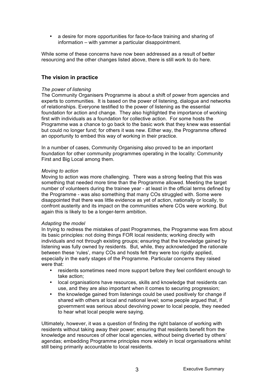• a desire for more opportunities for face-to-face training and sharing of information – with yammer a particular disappointment.

While some of these concerns have now been addressed as a result of better resourcing and the other changes listed above, there is still work to do here.

#### **The vision in practice**

#### *The power of listening*

The Community Organisers Programme is about a shift of power from agencies and experts to communities. It is based on the power of listening, dialogue and networks of relationships. Everyone testified to the power of listening as the essential foundation for action and change. They also highlighted the importance of working first with individuals as a foundation for collective action. For some hosts the Programme was a chance to go back to the basic work that they knew was essential but could no longer fund; for others it was new. Either way, the Programme offered an opportunity to embed this way of working in their practice.

In a number of cases, Community Organising also proved to be an important foundation for other community programmes operating in the locality: Community First and Big Local among them.

#### *Moving to action*

Moving to action was more challenging. There was a strong feeling that this was something that needed more time than the Programme allowed. Meeting the target number of volunteers during the trainee year - at least in the official terms defined by the Programme - was also something that many COs struggled with. Some were disappointed that there was little evidence as yet of action, nationally or locally, to confront austerity and its impact on the communities where COs were working. But again this is likely to be a longer-term ambition.

#### *Adapting the model*

In trying to redress the mistakes of past Programmes, the Programme was firm about its basic principles: not doing things FOR local residents; working directly with individuals and not through existing groups; ensuring that the knowledge gained by listening was fully owned by residents. But, while, they acknowledged the rationale between these 'rules', many COs and hosts felt they were too rigidly applied, especially in the early stages of the Programme. Particular concerns they raised were that:

- residents sometimes need more support before they feel confident enough to take action;
- local organisations have resources, skills and knowledge that residents can use, and they are also important when it comes to securing progression;
- the knowledge gained from listenings could be used positively for change if shared with others at local and national level; some people argued that, if government was serious about devolving power to local people, they needed to hear what local people were saying.

Ultimately, however, it was a question of finding the right balance of working with residents without taking away their power; ensuring that residents benefit from the knowledge and resources of other local agencies, without being diverted by others' agendas; embedding Programme principles more widely in local organisations whilst still being primarily accountable to local residents.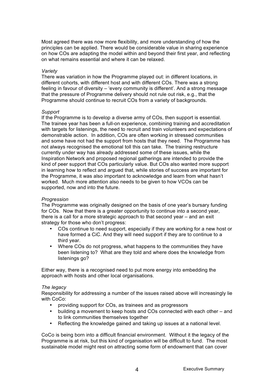Most agreed there was now more flexibility, and more understanding of how the principles can be applied. There would be considerable value in sharing experience on how COs are adapting the model within and beyond their first year, and reflecting on what remains essential and where it can be relaxed.

#### *Variety*

There was variation in how the Programme played out: in different locations, in different cohorts, with different host and with different COs. There was a strong feeling in favour of diversity – 'every community is different'. And a strong message that the pressure of Programme delivery should not rule out risk, e.g., that the Programme should continue to recruit COs from a variety of backgrounds.

#### *Support*

If the Programme is to develop a diverse army of COs, then support is essential. The trainee year has been a full-on experience, combining training and accreditation with targets for listenings, the need to recruit and train volunteers and expectations of demonstrable action. In addition, COs are often working in stressed communities and some have not had the support from hosts that they need. The Programme has not always recognised the emotional toll this can take. The training restructure currently under way has already addressed some of these issues, while the Inspiration Network and proposed regional gatherings are intended to provide the kind of peer support that COs particularly value. But COs also wanted more support in learning how to reflect and argued that, while stories of success are important for the Programme, it was also important to acknowledge and learn from what hasn't worked. Much more attention also needs to be given to how VCOs can be supported, now and into the future.

#### *Progression*

The Programme was originally designed on the basis of one year's bursary funding for COs. Now that there is a greater opportunity to continue into a second year, there is a call for a more strategic approach to that second year – and an exit strategy for those who don't progress:

- COs continue to need support, especially if they are working for a new host or have formed a CiC. And they will need support if they are to continue to a third year.
- Where COs do not progress, what happens to the communities they have been listening to? What are they told and where does the knowledge from listenings go?

Either way, there is a recognised need to put more energy into embedding the approach with hosts and other local organisations.

#### *The legacy*

Responsibility for addressing a number of the issues raised above will increasingly lie with CoCo:

- providing support for COs, as trainees and as progressors
- building a movement to keep hosts and COs connected with each other and to link communities themselves together
- Reflecting the knowledge gained and taking up issues at a national level.

CoCo is being born into a difficult financial environment. Without it the legacy of the Programme is at risk, but this kind of organisation will be difficult to fund. The most sustainable model might rest on attracting some form of endowment that can cover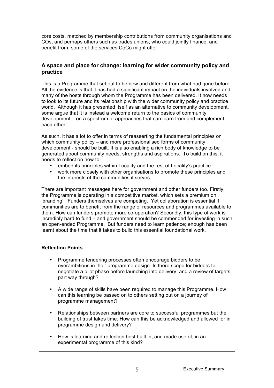core costs, matched by membership contributions from community organisations and COs, and perhaps others such as trades unions, who could jointly finance, and benefit from, some of the services CoCo might offer.

#### **A space and place for change: learning for wider community policy and practice**

This is a Programme that set out to be new and different from what had gone before. All the evidence is that it has had a significant impact on the individuals involved and many of the hosts through whom the Programme has been delivered. It now needs to look to its future and its relationship with the wider community policy and practice world. Although it has presented itself as an alternative to community development, some argue that it is instead a welcome return to the basics of community development – on a spectrum of approaches that can learn from and complement each other.

As such, it has a lot to offer in terms of reasserting the fundamental principles on which community policy – and more professionalised forms of community development - should be built. It is also enabling a rich body of knowledge to be generated about community needs, strengths and aspirations. To build on this, it needs to reflect on how to:

- embed its principles within Locality and the rest of Locality's practice
- work more closely with other organisations to promote these principles and the interests of the communities it serves.

There are important messages here for government and other funders too. Firstly, the Programme is operating in a competitive market, which sets a premium on 'branding'. Funders themselves are competing. Yet collaboration is essential if communities are to benefit from the range of resources and programmes available to them. How can funders promote more co-operation? Secondly, this type of work is incredibly hard to fund – and government should be commended for investing in such an open-ended Programme. But funders need to learn patience; enough has been learnt about the time that it takes to build this essential foundational work.

#### **Reflection Points**

- Programme tendering processes often encourage bidders to be overambitious in their programme design. Is there scope for bidders to negotiate a pilot phase before launching into delivery, and a review of targets part way through?
- A wide range of skills have been required to manage this Programme. How can this learning be passed on to others setting out on a journey of programme management?
- Relationships between partners are core to successful programmes but the building of trust takes time. How can this be acknowledged and allowed for in programme design and delivery?
- How is learning and reflection best built in, and made use of, in an experimental programme of this kind?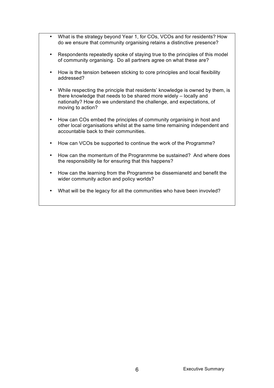- What is the strategy beyond Year 1, for COs, VCOs and for residents? How do we ensure that community organising retains a distinctive presence?
- Respondents repeatedly spoke of staying true to the principles of this model of community organising. Do all partners agree on what these are?
- How is the tension between sticking to core principles and local flexibility addressed?
- While respecting the principle that residents' knowledge is owned by them, is there knowledge that needs to be shared more widely – locally and nationally? How do we understand the challenge, and expectations, of moving to action?
- How can COs embed the principles of community organising in host and other local organisations whilst at the same time remaining independent and accountable back to their communities.
- How can VCOs be supported to continue the work of the Programme?
- How can the momentum of the Progranmme be sustained? And where does the responsibility lie for ensuring that this happens?
- How can the learning from the Programme be dissemianetd and benefit the wider community action and policy worlds?
- What will be the legacy for all the communities who have been invovled?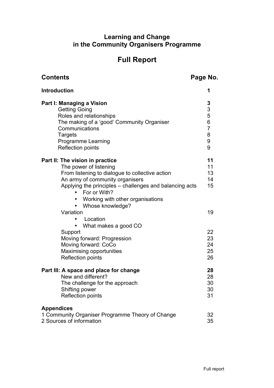## **Learning and Change in the Community Organisers Programme**

# **Full Report**

| <b>Contents</b>                                                                                                                                                                                                                                                                          | Page No.                                                 |
|------------------------------------------------------------------------------------------------------------------------------------------------------------------------------------------------------------------------------------------------------------------------------------------|----------------------------------------------------------|
| <b>Introduction</b>                                                                                                                                                                                                                                                                      | 1                                                        |
| Part I: Managing a Vision<br><b>Getting Going</b><br>Roles and relationships<br>The making of a 'good' Community Organiser<br>Communications<br>Targets<br><b>Programme Learning</b><br><b>Reflection points</b>                                                                         | 3<br>$\frac{3}{5}$<br>6<br>$\overline{7}$<br>8<br>9<br>9 |
| Part II: The vision in practice<br>The power of listening<br>From listening to dialogue to collective action<br>An army of community organisers<br>Applying the principles - challenges and balancing acts<br>• For or With?<br>• Working with other organisations<br>• Whose knowledge? | 11<br>11<br>13<br>14<br>15                               |
| Variation                                                                                                                                                                                                                                                                                | 19                                                       |
| Location<br>What makes a good CO<br>Support<br>Moving forward: Progression<br>Moving forward: CoCo<br>Maximising opportunities<br><b>Reflection points</b>                                                                                                                               | 22<br>23<br>24<br>25<br>26                               |
| Part III: A space and place for change<br>New and different?<br>The challenge for the approach<br>Shifting power<br>Reflection points                                                                                                                                                    | 28<br>28<br>30<br>30<br>31                               |
| <b>Appendices</b><br>1 Community Organiser Programme Theory of Change<br>2 Sources of information                                                                                                                                                                                        | 32<br>35                                                 |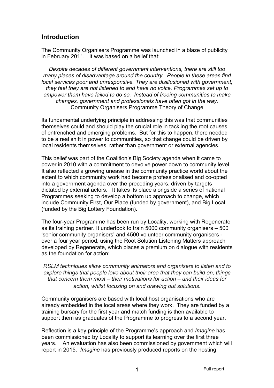# **Introduction**

The Community Organisers Programme was launched in a blaze of publicity in February 2011. It was based on a belief that:

*Despite decades of different government interventions, there are still too many places of disadvantage around the country. People in these areas find local services poor and unresponsive. They are disillusioned with government; they feel they are not listened to and have no voice. Programmes set up to empower them have failed to do so. Instead of freeing communities to make changes, government and professionals have often got in the way.* Community Organisers Programme Theory of Change

Its fundamental underlying principle in addressing this was that communities themselves could and should play the crucial role in tackling the root causes of entrenched and emerging problems. But for this to happen, there needed to be a real shift in power to communities, so that change could be driven by local residents themselves, rather than government or external agencies.

This belief was part of the Coalition's Big Society agenda when it came to power in 2010 with a commitment to devolve power down to community level. It also reflected a growing unease in the community practice world about the extent to which community work had become professionalised and co-opted into a government agenda over the preceding years, driven by targets dictated by external actors. It takes its place alongside a series of national Programmes seeking to develop a bottom up approach to change, which include Community First, Our Place (funded by government), and Big Local (funded by the Big Lottery Foundation).

The four-year Programme has been run by Locality, working with Regenerate as its training partner. It undertook to train 5000 community organisers – 500 'senior community organisers' and 4500 volunteer community organisers over a four year period, using the Root Solution Listening Matters approach developed by Regenerate, which places a premium on dialogue with residents as the foundation for action:

*RSLM techniques allow community animators and organisers to listen and to explore things that people love about their area that they can build on, things that concern them most – their motivations for action – and their ideas for action, whilst focusing on and drawing out solutions*.

Community organisers are based with local host organisations who are already embedded in the local areas where they work. They are funded by a training bursary for the first year and match funding is then available to support them as graduates of the Programme to progress to a second year.

Reflection is a key principle of the Programme's approach and *Imagine* has been commissioned by Locality to support its learning over the first three years. An evaluation has also been commissioned by government which will report in 2015. *Imagine* has previously produced reports on the hosting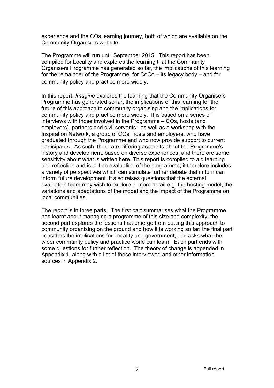experience and the COs learning journey, both of which are available on the Community Organisers website.

The Programme will run until September 2015. This report has been compiled for Locality and explores the learning that the Community Organisers Programme has generated so far, the implications of this learning for the remainder of the Programme, for CoCo – its legacy body – and for community policy and practice more widely.

In this report, *Imagine* explores the learning that the Community Organisers Programme has generated so far, the implications of this learning for the future of this approach to community organising and the implications for community policy and practice more widely. It is based on a series of interviews with those involved in the Programme – COs, hosts (and employers), partners and civil servants –as well as a workshop with the Inspiration Network, a group of COs, hosts and employers, who have graduated through the Programme and who now provide support to current participants. As such, there are differing accounts about the Programme's history and development, based on diverse experiences, and therefore some sensitivity about what is written here. This report is compiled to aid learning and reflection and is not an evaluation of the programme; it therefore includes a variety of perspectives which can stimulate further debate that in turn can inform future development. It also raises questions that the external evaluation team may wish to explore in more detail e.g. the hosting model, the variations and adaptations of the model and the impact of the Programme on local communities.

The report is in three parts. The first part summarises what the Programme has learnt about managing a programme of this size and complexity; the second part explores the lessons that emerge from putting this approach to community organising on the ground and how it is working so far; the final part considers the implications for Locality and government, and asks what the wider community policy and practice world can learn. Each part ends with some questions for further reflection. The theory of change is appended in Appendix 1, along with a list of those interviewed and other information sources in Appendix 2.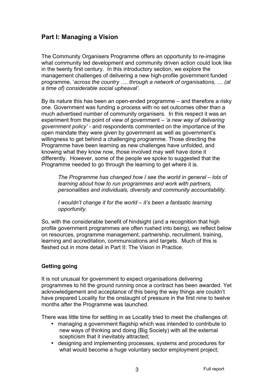# **Part I: Managing a Vision**

The Community Organisers Programme offers an opportunity to re-imagine what community led development and community driven action could look like in the twenty first century. In this introductory section, we explore the management challenges of delivering a new high-profile government funded programme, '*across the country …. through a network of organisations, … (at a time of) considerable social upheaval'.*

By its nature this has been an open-ended programme – and therefore a risky one. Government was funding a process with no set outcomes other than a much advertised number of community organisers. In this respect it was an experiment from the point of view of government – *'a new way of delivering government policy'* - and respondents commented on the importance of the open mandate they were given by government as well as government's willingness to get behind a challenging programme. Those directing the Programme have been learning as new challenges have unfolded, and knowing what they know now, those involved may well have done it differently. However, some of the people we spoke to suggested that the Programme needed to go through the learning to get where it is.

*The Programme has changed how I see the world in general – lots of learning about how to run programmes and work with partners, personalities and individuals, diversity and community accountability.*

*I wouldn't change it for the world – it's been a fantastic learning opportunity.* 

So, with the considerable benefit of hindsight (and a recognition that high profile government programmes are often rushed into being), we reflect below on resources, programme management, partnership, recruitment, training, learning and accreditation, communications and targets. Much of this is fleshed out in more detail in Part II: The Vision in Practice.

## **Getting going**

It is not unusual for government to expect organisations delivering programmes to hit the ground running once a contract has been awarded. Yet acknowledgement and acceptance of this being the way things are couldn't have prepared Locality for the onslaught of pressure in the first nine to twelve months after the Programme was launched.

There was little time for settling in as Locality tried to meet the challenges of:

- managing a government flagship which was intended to contribute to new ways of thinking and doing (Big Society) with all the external scepticism that it inevitably attracted;
- designing and implementing processes, systems and procedures for what would become a huge voluntary sector employment project;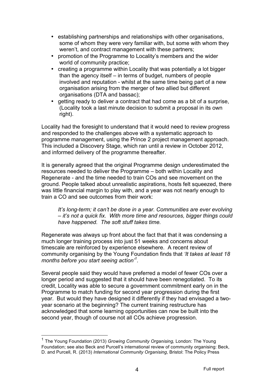- establishing partnerships and relationships with other organisations, some of whom they were very familiar with, but some with whom they weren't, and contract management with these partners;
- promotion of the Programme to Locality's members and the wider world of community practice;
- creating a programme within Locality that was potentially a lot bigger than the agency itself – in terms of budget, numbers of people involved and reputation - whilst at the same time being part of a new organisation arising from the merger of two allied but different organisations (DTA and bassac);
- getting ready to deliver a contract that had come as a bit of a surprise, (Locality took a last minute decision to submit a proposal in its own right).

Locality had the foresight to understand that it would need to review progress and responded to the challenges above with a systematic approach to programme management, using the Prince 2 project management approach. This included a Discovery Stage, which ran until a review in October 2012, and informed delivery of the programme thereafter.

It is generally agreed that the original Programme design underestimated the resources needed to deliver the Programme – both within Locality and Regenerate - and the time needed to train COs and see movement on the ground. People talked about unrealistic aspirations, hosts felt squeezed, there was little financial margin to play with, and a year was not nearly enough to train a CO and see outcomes from their work:

*It's long-term; it can't be done in a year. Communities are ever evolving – it's not a quick fix. With more time and resources, bigger things could have happened. The soft stuff takes time.* 

Regenerate was always up front about the fact that that it was condensing a much longer training process into just 51 weeks and concerns about timescale are reinforced by experience elsewhere. A recent review of community organising by the Young Foundation finds that *'It takes at least 18 months before you start seeing action'1 .*

Several people said they would have preferred a model of fewer COs over a longer period and suggested that it should have been renegotiated. To its credit, Locality was able to secure a government commitment early on in the Programme to match funding for second year progression during the first year. But would they have designed it differently if they had envisaged a twoyear scenario at the beginning? The current training restructure has acknowledged that some learning opportunities can now be built into the second year, though of course not all COs achieve progression.

 <sup>1</sup> The Young Foundation (2013) *Growing Community Organising,* London: The Young Foundation; see also Beck and Purcell's international review of community organising: Beck, D. and Purcell, R. (2013) *International Community Organising*, Bristol: The Policy Press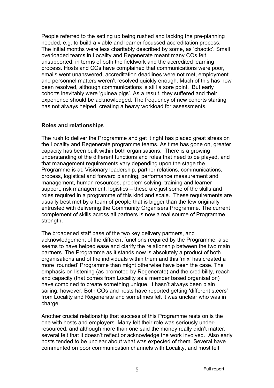People referred to the setting up being rushed and lacking the pre-planning needed, e.g. to build a viable and learner focussed accreditation process. The initial months were less charitably described by some, as 'chaotic'. Small overloaded teams in Locality and Regenerate meant many COs felt unsupported, in terms of both the fieldwork and the accredited learning process. Hosts and COs have complained that communications were poor, emails went unanswered, accreditation deadlines were not met, employment and personnel matters weren't resolved quickly enough. Much of this has now been resolved, although communications is still a sore point. But early cohorts inevitably were 'guinea pigs'. As a result, they suffered and their experience should be acknowledged. The frequency of new cohorts starting has not always helped, creating a heavy workload for assessments.

## **Roles and relationships**

The rush to deliver the Programme and get it right has placed great stress on the Locality and Regenerate programme teams. As time has gone on, greater capacity has been built within both organisations. There is a growing understanding of the different functions and roles that need to be played, and that management requirements vary depending upon the stage the Programme is at. Visionary leadership, partner relations, communications, process, logistical and forward planning, performance measurement and management, human resources, problem solving, training and learner support, risk management, logistics – these are just some of the skills and roles required in a programme of this kind and scale. These requirements are usually best met by a team of people that is bigger than the few originally entrusted with delivering the Community Organisers Programme. The current complement of skills across all partners is now a real source of Programme strength.

The broadened staff base of the two key delivery partners, and acknowledgement of the different functions required by the Programme, also seems to have helped ease and clarify the relationship between the two main partners. The Programme as it stands now is absolutely a product of both organisations and of the individuals within them and this 'mix' has created a more 'rounded' Programme than might otherwise have been the case. The emphasis on listening (as promoted by Regenerate) and the credibility, reach and capacity (that comes from Locality as a member based organisation) have combined to create something unique. It hasn't always been plain sailing, however. Both COs and hosts have reported getting 'different steers' from Locality and Regenerate and sometimes felt it was unclear who was in charge.

Another crucial relationship that success of this Programme rests on is the one with hosts and employers. Many felt their role was seriously underresourced, and although more than one said the money really didn't matter, several felt that it doesn't reflect or acknowledge the work involved. Also early hosts tended to be unclear about what was expected of them. Several have commented on poor communication channels with Locality, and most felt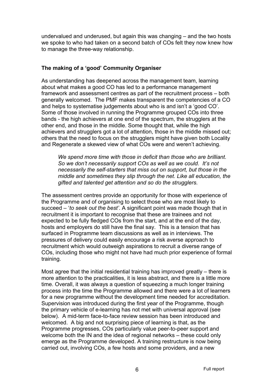undervalued and underused, but again this was changing – and the two hosts we spoke to who had taken on a second batch of COs felt they now knew how to manage the three-way relationship.

## **The making of a 'good' Community Organiser**

As understanding has deepened across the management team, learning about what makes a good CO has led to a performance management framework and assessment centres as part of the recruitment process – both generally welcomed. The PMF makes transparent the competencies of a CO and helps to systematise judgements about who is and isn't a 'good CO'. Some of those involved in running the Programme grouped COs into three bands - the high achievers at one end of the spectrum, the strugglers at the other end, and those in the middle. Some thought that, while the high achievers and strugglers got a lot of attention, those in the middle missed out; others that the need to focus on the strugglers might have given both Locality and Regenerate a skewed view of what COs were and weren't achieving.

*We spend more time with those in deficit than those who are brilliant. So we don't necessarily support COs as well as we could. It's not necessarily the self-starters that miss out on support, but those in the middle and sometimes they slip through the net. Like all education, the gifted and talented get attention and so do the strugglers.* 

The assessment centres provide an opportunity for those with experience of the Programme and of organising to select those who are most likely to succeed – '*to seek out the best'*. A significant point was made though that in recruitment it is important to recognise that these are trainees and not expected to be fully fledged COs from the start, and at the end of the day, hosts and employers do still have the final say. This is a tension that has surfaced in Programme team discussions as well as in interviews. The pressures of delivery could easily encourage a risk averse approach to recruitment which would outweigh aspirations to recruit a diverse range of COs, including those who might not have had much prior experience of formal training.

Most agree that the initial residential training has improved greatly – there is more attention to the practicalities, it is less abstract, and there is a little more time. Overall, it was always a question of squeezing a much longer training process into the time the Programme allowed and there were a lot of learners for a new programme without the development time needed for accreditation. Supervision was introduced during the first year of the Programme, though the primary vehicle of e-learning has not met with universal approval (see below). A mid-term face-to-face review session has been introduced and welcomed. A big and not surprising piece of learning is that, as the Programme progresses, COs particularly value peer-to-peer support and welcome both the IN and the idea of regional networks – these could only emerge as the Programme developed. A training restructure is now being carried out, involving COs, a few hosts and some providers, and a new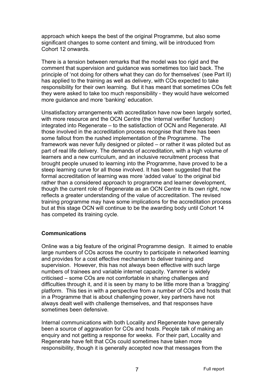approach which keeps the best of the original Programme, but also some significant changes to some content and timing, will be introduced from Cohort 12 onwards.

There is a tension between remarks that the model was too rigid and the comment that supervision and guidance was sometimes too laid back. The principle of 'not doing for others what they can do for themselves' (see Part II) has applied to the training as well as delivery, with COs expected to take responsibility for their own learning. But it has meant that sometimes COs felt they were asked to take too much responsibility - they would have welcomed more guidance and more 'banking' education.

Unsatisfactory arrangements with accreditation have now been largely sorted, with more resource and the OCN Centre (the 'internal verifier' function) integrated into Regenerate – to the satisfaction of OCN and Regenerate. All those involved in the accreditation process recognise that there has been some fallout from the rushed implementation of the Programme. The framework was never fully designed or piloted – or rather it was piloted but as part of real life delivery. The demands of accreditation, with a high volume of learners and a new curriculum, and an inclusive recruitment process that brought people unused to learning into the Programme, have proved to be a steep learning curve for all those involved. It has been suggested that the formal accreditation of learning was more 'added value' to the original bid rather than a considered approach to programme and learner development, though the current role of Regenerate as an OCN Centre in its own right, now reflects a greater understanding of the value of accreditation. The revised training programme may have some implications for the accreditation process but at this stage OCN will continue to be the awarding body until Cohort 14 has competed its training cycle.

## **Communications**

Online was a big feature of the original Programme design. It aimed to enable large numbers of COs across the country to participate in networked learning and provides for a cost effective mechanism to deliver training and supervision. However, this has not always been effective with such large numbers of trainees and variable internet capacity. Yammer is widely criticised – some COs are not comfortable in sharing challenges and difficulties through it, and it is seen by many to be little more than a 'bragging' platform. This ties in with a perspective from a number of COs and hosts that in a Programme that is about challenging power, key partners have not always dealt well with challenge themselves, and that responses have sometimes been defensive.

Internal communications with both Locality and Regenerate have generally been a source of aggravation for COs and hosts. People talk of making an enquiry and not getting a response for weeks. For their part, Locality and Regenerate have felt that COs could sometimes have taken more responsibility, though it is generally accepted now that messages from the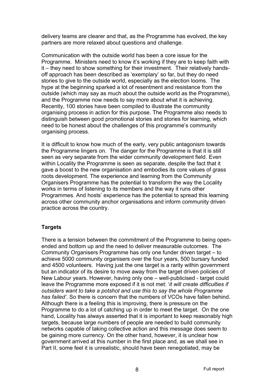delivery teams are clearer and that, as the Programme has evolved, the key partners are more relaxed about questions and challenge.

Communication with the outside world has been a core issue for the Programme. Ministers need to know it's working if they are to keep faith with it – they need to show something for their investment. Their relatively handsoff approach has been described as 'exemplary' so far, but they do need stories to give to the outside world, especially as the election looms. The hype at the beginning sparked a lot of resentment and resistance from the outside (which may say as much about the outside world as the Programme), and the Programme now needs to say more about what it is achieving. Recently, 100 stories have been compiled to illustrate the community organising process in action for this purpose. The Programme also needs to distinguish between good promotional stories and stories for learning, which need to be honest about the challenges of this programme's community organising process.

It is difficult to know how much of the early, very public antagonism towards the Programme lingers on. The danger for the Programme is that it is still seen as very separate from the wider community development field. Even within Locality the Programme is seen as separate, despite the fact that it gave a boost to the new organisation and embodies its core values of grass roots development. The experience and learning from the Community Organisers Programme has the potential to transform the way the Locality works in terms of listening to its members and the way it runs other Programmes. And hosts' experience has the potential to spread this learning across other community anchor organisations and inform community driven practice across the country.

## **Targets**

There is a tension between the commitment of the Programme to being openended and bottom up and the need to deliver measurable outcomes. The Community Organisers Programme has only one funder driven target – to achieve 5000 community organisers over the four years, 500 bursary funded and 4500 volunteers. Having just the one target is a rarity within government but an indicator of its desire to move away from the target driven policies of New Labour years. However, having only one – well-publicised - target could leave the Programme more exposed if it is not met: '*it will create difficulties if outsiders want to take a potshot and use this to say the whole Programme has failed'*. So there is concern that the numbers of VCOs have fallen behind. Although there is a feeling this is improving, there is pressure on the Programme to do a lot of catching up in order to meet the target. On the one hand, Locality has always asserted that it is important to keep reasonably high targets, because large numbers of people are needed to build community networks capable of taking collective action and this message does seem to be gaining more currency. On the other hand, however, it is unclear how government arrived at this number in the first place and, as we shall see in Part II, some feel it is unrealistic, should have been renegotiated, may be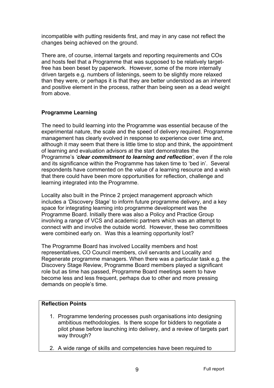incompatible with putting residents first, and may in any case not reflect the changes being achieved on the ground.

There are, of course, internal targets and reporting requirements and COs and hosts feel that a Programme that was supposed to be relatively targetfree has been beset by paperwork. However, some of the more internally driven targets e.g. numbers of listenings, seem to be slightly more relaxed than they were, or perhaps it is that they are better understood as an inherent and positive element in the process, rather than being seen as a dead weight from above.

## **Programme Learning**

The need to build learning into the Programme was essential because of the experimental nature, the scale and the speed of delivery required. Programme management has clearly evolved in response to experience over time and, although it may seem that there is little time to stop and think, the appointment of learning and evaluation advisors at the start demonstrates the Programme's *'clear commitment to learning and reflection'*, even if the role and its significance within the Programme has taken time to 'bed in'. Several respondents have commented on the value of a learning resource and a wish that there could have been more opportunities for reflection, challenge and learning integrated into the Programme.

Locality also built in the Prince 2 project management approach which includes a 'Discovery Stage' to inform future programme delivery, and a key space for integrating learning into programme development was the Programme Board. Initially there was also a Policy and Practice Group involving a range of VCS and academic partners which was an attempt to connect with and involve the outside world. However, these two committees were combined early on. Was this a learning opportunity lost?

The Programme Board has involved Locality members and host representatives, CO Council members, civil servants and Locality and Regenerate programme managers. When there was a particular task e.g. the Discovery Stage Review, Programme Board members played a significant role but as time has passed, Programme Board meetings seem to have become less and less frequent, perhaps due to other and more pressing demands on people's time.

## **Reflection Points**

- 1. Programme tendering processes push organisations into designing ambitious methodologies. Is there scope for bidders to negotiate a pilot phase before launching into delivery, and a review of targets part way through?
- 2. A wide range of skills and competencies have been required to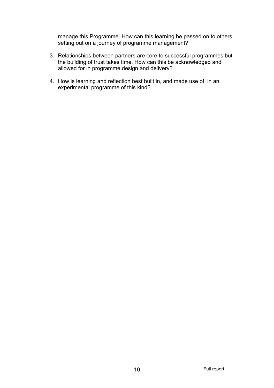manage this Programme. How can this learning be passed on to others setting out on a journey of programme management?

- 3. Relationships between partners are core to successful programmes but the building of trust takes time. How can this be acknowledged and allowed for in programme design and delivery?
- 4. How is learning and reflection best built in, and made use of, in an experimental programme of this kind?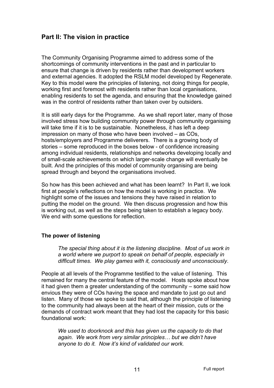# **Part II: The vision in practice**

The Community Organising Programme aimed to address some of the shortcomings of community interventions in the past and in particular to ensure that change is driven by residents rather than development workers and external agencies. It adopted the RSLM model developed by Regenerate. Key to this model were the principles of listening, not doing things for people, working first and foremost with residents rather than local organisations, enabling residents to set the agenda, and ensuring that the knowledge gained was in the control of residents rather than taken over by outsiders.

It is still early days for the Programme. As we shall report later, many of those involved stress how building community power through community organising will take time if it is to be sustainable. Nonetheless, it has left a deep impression on many of those who have been involved – as COs, hosts/employers and Programme deliverers. There is a growing body of stories – some reproduced in the boxes below - of confidence increasing among individual residents, relationships and networks developing locally and of small-scale achievements on which larger-scale change will eventually be built. And the principles of this model of community organising are being spread through and beyond the organisations involved.

So how has this been achieved and what has been learnt? In Part II, we look first at people's reflections on how the model is working in practice. We highlight some of the issues and tensions they have raised in relation to putting the model on the ground. We then discuss progression and how this is working out, as well as the steps being taken to establish a legacy body. We end with some questions for reflection.

## **The power of listening**

*The special thing about it is the listening discipline. Most of us work in a world where we purport to speak on behalf of people, especially in difficult times. We play games with it, consciously and unconsciously*.

People at all levels of the Programme testified to the value of listening. This remained for many the central feature of the model. Hosts spoke about how it had given them a greater understanding of the community – some said how envious they were of COs having the space and mandate to just go out and listen. Many of those we spoke to said that, although the principle of listening to the community had always been at the heart of their mission, cuts or the demands of contract work meant that they had lost the capacity for this basic foundational work:

*We used to doorknock and this has given us the capacity to do that again. We work from very similar principles… but we didn't have anyone to do it. Now it's kind of validated our work.*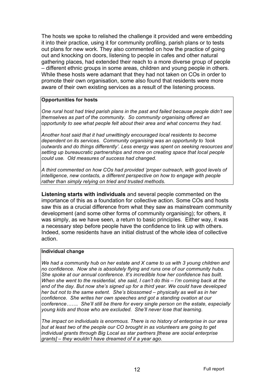The hosts we spoke to relished the challenge it provided and were embedding it into their practice, using it for community profiling, parish plans or to tests out plans for new work. They also commented on how the practice of going out and knocking on doors, listening to people in cafes and other natural gathering places, had extended their reach to a more diverse group of people – different ethnic groups in some areas, children and young people in others. While these hosts were adamant that they had not taken on COs in order to promote their own organisation, some also found that residents were more aware of their own existing services as a result of the listening process.

#### **Opportunities for hosts**

*One rural host had tried parish plans in the past and failed because people didn't see themselves as part of the community. So community organising offered an opportunity to see what people felt about their area and what concerns they had.* 

*Another host said that it had unwittingly encouraged local residents to become dependent on its services. Community organising was an opportunity to 'look outwards and do things differently'. Less energy was spent on seeking resources and setting up bureaucratic partnerships and more on creating space that local people could use. Old measures of success had changed.* 

*A third commented on how COs had provided 'proper outreach, with good levels of intelligence, new contacts, a different perspective on how to engage with people rather than simply relying on tried and trusted methods.*

**Listening starts with individuals** and several people commented on the importance of this as a foundation for collective action. Some COs and hosts saw this as a crucial difference from what they saw as mainstream community development (and some other forms of community organising); for others, it was simply, as we have seen, a return to basic principles. Either way, it was a necessary step before people have the confidence to link up with others. Indeed, some residents have an initial distrust of the whole idea of collective action.

#### **Individual change**

*We had a community hub on her estate and X came to us with 3 young children and no confidence. Now she is absolutely flying and runs one of our community hubs. She spoke at our annual conference. It's incredible how her confidence has built. When she went to the residential, she said, I can't do this – I'm coming back at the end of the day. But now she's signed up for a third year. We could have developed her but not to the same extent. She's blossomed – physically as well as in her confidence. She writes her own speeches and got a standing ovation at our conference……. She'll still be there for every single person on the estate, especially young kids and those who are excluded. She'll never lose that learning.*

*The impact on individuals is enormous. There is no history of enterprise in our area but at least two of the people our CO brought in as volunteers are going to get individual grants through Big Local as star partners [these are social enterprise grants] – they wouldn't have dreamed of it a year ago.*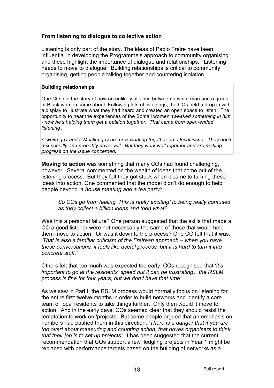## **From listening to dialogue to collective action**

Listening is only part of the story. The ideas of Paolo Freire have been influential in developing the Programme's approach to community organising and these highlight the importance of dialogue and relationships. Listening needs to move to dialogue. Building relationships is critical to community organising, getting people talking together and countering isolation.

#### **Building relationships**

One CO told the story of how an unlikely alliance between a white man and a group of Black women came about. Following lots of listenings, the COs held a drop in with a display to illustrate what they had heard and created an open space to listen. The opportunity to hear the experiences of the Somali women *'tweaked something in him - now he's helping them get a petition together. That came from open-ended listening'*.

*A white guy and a Muslim guy are now working together on a local issue. They don't mix socially and probably never will. But they work well together and are making progress on the issue concerned.*

**Moving to action** was something that many COs had found challenging, however. Several commented on the wealth of ideas that come out of the listening process. But they felt they got stuck when it came to turning these ideas into action. One commented that the model didn't do enough to help people beyond '*a house meeting and a tea party'*:

*So COs go from feeling 'This is really exciting' to being really confused as they collect a billion ideas and then what?* 

Was this a personal failure? One person suggested that the skills that made a CO a good listener were not necessarily the same of those that would help them move to action. Or was it down to the process? One CO felt that it was: '*That is also a familiar criticism of the Freirean approach – when you have these conversations, it feels like useful process, but it is hard to turn it into concrete stuff.'* 

Others felt that too much was expected too early. COs recognised that '*it's important to go at the residents' speed but it can be frustrating…the RSLM process is fine for four years, but we don't have that time'.*

As we saw in Part I, the RSLM process would normally focus on listening for the entire first twelve months in order to build networks and identify a core team of local residents to take things further. Only then would it move to action. And in the early days, COs seemed clear that they should resist the temptation to work on 'projects'. But some people argued that an emphasis on numbers had pushed them in this direction: '*There is a danger that if you are too overt about measuring and counting action, that drives organisers to think that their job is to set up projects'*. It has been suggested that the current recommendation that COs support a few fledgling projects in Year 1 might be replaced with performance targets based on the building of networks as a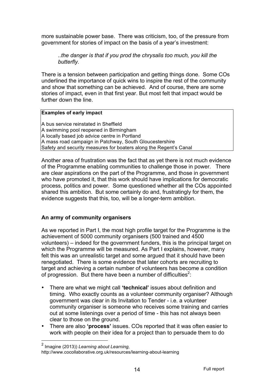more sustainable power base. There was criticism, too, of the pressure from government for stories of impact on the basis of a year's investment:

*..the danger is that if you prod the chrysalis too much, you kill the butterfly.* 

There is a tension between participation and getting things done. Some COs underlined the importance of quick wins to inspire the rest of the community and show that something can be achieved. And of course, there are some stories of impact, even in that first year. But most felt that impact would be further down the line.

#### **Examples of early impact**

A bus service reinstated in Sheffield A swimming pool reopened in Birmingham A locally based job advice centre in Portland A mass road campaign in Patchway, South Gloucestershire Safety and security measures for boaters along the Regent's Canal

Another area of frustration was the fact that as yet there is not much evidence of the Programme enabling communities to challenge those in power. There are clear aspirations on the part of the Programme, and those in government who have promoted it, that this work should have implications for democratic process, politics and power. Some questioned whether all the COs appointed shared this ambition. But some certainly do and, frustratingly for them, the evidence suggests that this, too, will be a longer-term ambition.

## **An army of community organisers**

As we reported in Part I, the most high profile target for the Programme is the achievement of 5000 community organisers (500 trained and 4500 volunteers) – indeed for the government funders, this is the principal target on which the Programme will be measured. As Part I explains, however, many felt this was an unrealistic target and some argued that it should have been renegotiated. There is some evidence that later cohorts are recruiting to target and achieving a certain number of volunteers has become a condition of progression. But there have been a number of difficulties $2$ :

- There are what we might call **'technical'** issues about definition and timing. Who exactly counts as a volunteer community organiser? Although government was clear in its Invitation to Tender - i.e. a volunteer community organiser is someone who receives some training and carries out at some listenings over a period of time - this has not always been clear to those on the ground.
- There are also **'process'** issues. COs reported that it was often easier to work with people on their idea for a project than to persuade them to do

http://www.cocollaborative.org.uk/resources/learning-about-learning

 <sup>2</sup> Imagine (2013)) *Learning about Learning,*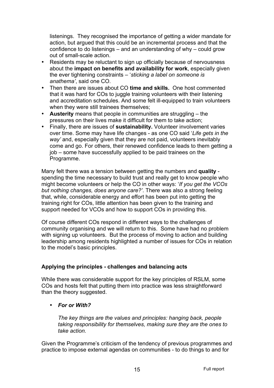listenings. They recognised the importance of getting a wider mandate for action, but argued that this could be an incremental process and that the confidence to do listenings – and an understanding of why – could grow out of small-scale action.

- Residents may be reluctant to sign up officially because of nervousness about the **impact on benefits and availability for work**, especially given the ever tightening constraints – '*sticking a label on someone is anathema'*, said one CO.
- Then there are issues about CO **time and skills.** One host commented that it was hard for COs to juggle training volunteers with their listening and accreditation schedules. And some felt ill-equipped to train volunteers when they were still trainees themselves:
- **Austerity** means that people in communities are struggling the pressures on their lives make it difficult for them to take action;
- Finally, there are issues of **sustainability.** Volunteer involvement varies over time. Some may have life changes - as one CO said '*Life gets in the way'* and, especially given that they are not paid, volunteers inevitably come and go. For others, their renewed confidence leads to them getting a job – some have successfully applied to be paid trainees on the Programme.

Many felt there was a tension between getting the numbers and **quality**  spending the time necessary to build trust and really get to know people who might become volunteers or help the CO in other ways: '*If you get the VCOs but nothing changes, does anyone care?'*. There was also a strong feeling that, while, considerable energy and effort has been put into getting the training right for COs, little attention has been given to the training and support needed for VCOs and how to support COs in providing this.

Of course different COs respond in different ways to the challenges of community organising and we will return to this. Some have had no problem with signing up volunteers. But the process of moving to action and building leadership among residents highlighted a number of issues for COs in relation to the model's basic principles.

## **Applying the principles - challenges and balancing acts**

While there was considerable support for the key principles of RSLM, some COs and hosts felt that putting them into practice was less straightforward than the theory suggested.

## • *For or With?*

*The key things are the values and principles: hanging back, people taking responsibility for themselves, making sure they are the ones to take action.*

Given the Programme's criticism of the tendency of previous programmes and practice to impose external agendas on communities - to do things to and for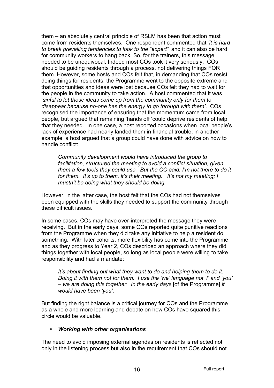them – an absolutely central principle of RSLM has been that action must come from residents themselves. One respondent commented that *'it is hard to break prevailing tendencies to look to the "expert"*' and it can also be hard for community workers to hang back. So, for the trainers, this message needed to be unequivocal. Indeed most COs took it very seriously. COs should be guiding residents through a process, not delivering things FOR them. However, some hosts and COs felt that, in demanding that COs resist doing things for residents, the Programme went to the opposite extreme and that opportunities and ideas were lost because COs felt they had to wait for the people in the community to take action. A host commented that it was '*sinful to let those ideas come up from the community only for them to disappear because no-one has the energy to go through with them'*. COs recognised the importance of ensuring that the momentum came from local people, but argued that remaining 'hands off 'could deprive residents of help that they needed. In one case, a host reported occasions when local people's lack of experience had nearly landed them in financial trouble; in another example, a host argued that a group could have done with advice on how to handle conflict:

*Community development would have introduced the group to facilitation, structured the meeting to avoid a conflict situation, given them a few tools they could use. But the CO said: I'm not there to do it for them. It's up to them, it's their meeting. It's not my meeting; I mustn't be doing what they should be doing.* 

However, in the latter case, the host felt that the COs had not themselves been equipped with the skills they needed to support the community through these difficult issues.

In some cases, COs may have over-interpreted the message they were receiving. But in the early days, some COs reported quite punitive reactions from the Programme when they did take any initiative to help a resident do something. With later cohorts, more flexibility has come into the Programme and as they progress to Year 2, COs described an approach where they did things together with local people, so long as local people were willing to take responsibility and had a mandate:

*It's about finding out what they want to do and helping them to do it. Doing it with them not for them. I use the 'we' language not 'I' and 'you' – we are doing this together. In the early days* [of the Programme] *it would have been 'you'.*

But finding the right balance is a critical journey for COs and the Programme as a whole and more learning and debate on how COs have squared this circle would be valuable.

#### • *Working with other organisations*

The need to avoid imposing external agendas on residents is reflected not only in the listening process but also in the requirement that COs should not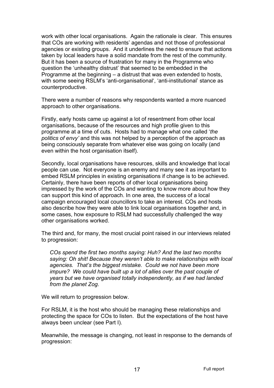work with other local organisations. Again the rationale is clear. This ensures that COs are working with residents' agendas and not those of professional agencies or existing groups. And it underlines the need to ensure that actions taken by local leaders have a solid mandate from the rest of the community. But it has been a source of frustration for many in the Programme who question the 'unhealthy distrust' that seemed to be embedded in the Programme at the beginning – a distrust that was even extended to hosts, with some seeing RSLM's 'anti-organisational', 'anti-institutional' stance as counterproductive.

There were a number of reasons why respondents wanted a more nuanced approach to other organisations.

Firstly, early hosts came up against a lot of resentment from other local organisations, because of the resources and high profile given to this programme at a time of cuts. Hosts had to manage what one called '*the politics of envy'* and this was not helped by a perception of the approach as being consciously separate from whatever else was going on locally (and even within the host organisation itself).

Secondly, local organisations have resources, skills and knowledge that local people can use. Not everyone is an enemy and many see it as important to embed RSLM principles in existing organisations if change is to be achieved. Certainly, there have been reports of other local organisations being impressed by the work of the COs and wanting to know more about how they can support this kind of approach. In one area, the success of a local campaign encouraged local councillors to take an interest. COs and hosts also describe how they were able to link local organisations together and, in some cases, how exposure to RSLM had successfully challenged the way other organisations worked.

The third and, for many, the most crucial point raised in our interviews related to progression:

*COs spend the first two months saying: Huh? And the last two months saying: Oh shit! Because they weren't able to make relationships with local agencies. That's the biggest mistake. Could we not have been more impure? We could have built up a lot of allies over the past couple of years but we have organised totally independently, as if we had landed from the planet Zog*.

We will return to progression below.

For RSLM, it is the host who should be managing these relationships and protecting the space for COs to listen. But the expectations of the host have always been unclear (see Part I).

Meanwhile, the message is changing, not least in response to the demands of progression: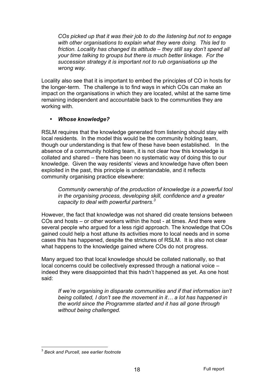*COs picked up that it was their job to do the listening but not to engage with other organisations to explain what they were doing. This led to friction. Locality has changed its attitude – they still say don't spend all your time talking to groups but there is much better linkage. For the succession strategy it is important not to rub organisations up the wrong way.*

Locality also see that it is important to embed the principles of CO in hosts for the longer-term. The challenge is to find ways in which COs can make an impact on the organisations in which they are located, whilst at the same time remaining independent and accountable back to the communities they are working with.

## • *Whose knowledge?*

RSLM requires that the knowledge generated from listening should stay with local residents. In the model this would be the community holding team, though our understanding is that few of these have been established. In the absence of a community holding team, it is not clear how this knowledge is collated and shared – there has been no systematic way of doing this to our knowledge. Given the way residents' views and knowledge have often been exploited in the past, this principle is understandable, and it reflects community organising practice elsewhere:

*Community ownership of the production of knowledge is a powerful tool in the organising process, developing skill, confidence and a greater capacity to deal with powerful partners.3*

However, the fact that knowledge was not shared did create tensions between COs and hosts – or other workers within the host - at times. And there were several people who argued for a less rigid approach. The knowledge that COs gained could help a host attune its activities more to local needs and in some cases this has happened, despite the strictures of RSLM. It is also not clear what happens to the knowledge gained where COs do not progress.

Many argued too that local knowledge should be collated nationally, so that local concerns could be collectively expressed through a national voice – indeed they were disappointed that this hadn't happened as yet. As one host said:

*If we're organising in disparate communities and if that information isn't being collated, I don't see the movement in it… a lot has happened in the world since the Programme started and it has all gone through without being challenged.*

 <sup>3</sup> *Beck and Purcell, see earlier footnote*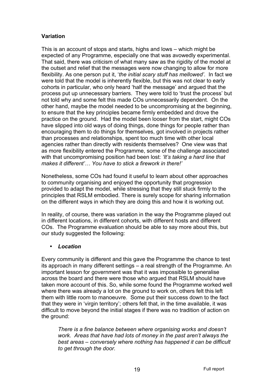## **Variation**

This is an account of stops and starts, highs and lows – which might be expected of any Programme, especially one that was avowedly experimental. That said, there was criticism of what many saw as the rigidity of the model at the outset and relief that the messages were now changing to allow for more flexibility. As one person put it, '*the initial scary stuff has mellowed'*. In fact we were told that the model is inherently flexible, but this was not clear to early cohorts in particular, who only heard 'half the message' and argued that the process put up unnecessary barriers. They were told to 'trust the process' but not told why and some felt this made COs unnecessarily dependent. On the other hand, maybe the model needed to be uncompromising at the beginning, to ensure that the key principles became firmly embedded and drove the practice on the ground. Had the model been looser from the start, might COs have slipped into old ways of doing things, done things for people rather than encouraging them to do things for themselves, got involved in projects rather than processes and relationships, spent too much time with other local agencies rather than directly with residents themselves? One view was that as more flexibility entered the Programme, some of the challenge associated with that uncompromising position had been lost: *'It's taking a hard line that makes it different'… You have to stick a firework in there!'*

Nonetheless, some COs had found it useful to learn about other approaches to community organising and enjoyed the opportunity that progression provided to adapt the model, while stressing that they still stuck firmly to the principles that RSLM embodied. There is surely scope for sharing information on the different ways in which they are doing this and how it is working out.

In reality, of course, there was variation in the way the Programme played out in different locations, in different cohorts, with different hosts and different COs. The Programme evaluation should be able to say more about this, but our study suggested the following:

## • *Location*

Every community is different and this gave the Programme the chance to test its approach in many different settings – a real strength of the Programme. An important lesson for government was that it was impossible to generalise across the board and there were those who argued that RSLM should have taken more account of this. So, while some found the Programme worked well where there was already a lot on the ground to work on, others felt this left them with little room to manoeuvre. Some put their success down to the fact that they were in 'virgin territory'; others felt that, in the time available, it was difficult to move beyond the initial stages if there was no tradition of action on the ground:

*There is a fine balance between where organising works and doesn't work. Areas that have had lots of money in the past aren't always the best areas – conversely where nothing has happened it can be difficult to get through the door.*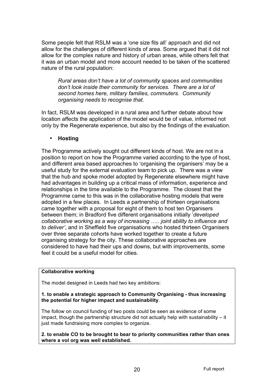Some people felt that RSLM was a 'one size fits all' approach and did not allow for the challenges of different kinds of area. Some argued that it did not allow for the complex nature and history of urban areas, while others felt that it was an urban model and more account needed to be taken of the scattered nature of the rural population:

*Rural areas don't have a lot of community spaces and communities don't look inside their community for services. There are a lot of second homes here, military families, commuters. Community organising needs to recognise that.*

In fact, RSLM was developed in a rural area and further debate about how location affects the application of the model would be of value, informed not only by the Regenerate experience, but also by the findings of the evaluation.

## • **Hosting**

The Programme actively sought out different kinds of host. We are not in a position to report on how the Programme varied according to the type of host, and different area based approaches to 'organising the organisers' may be a useful study for the external evaluation team to pick up. There was a view that the hub and spoke model adopted by Regenerate elsewhere might have had advantages in building up a critical mass of information, experience and relationships in the time available to the Programme. The closest that the Programme came to this was in the collaborative hosting models that were adopted in a few places. In Leeds a partnership of thirteen organisations came together with a proposal for eight of them to host ten Organisers between them; in Bradford five different organisations initially '*developed collaborative working as a way of increasing ….. joint ability to influence and to deliver'*, and in Sheffield five organisations who hosted thirteen Organisers over three separate cohorts have worked together to create a future organising strategy for the city. These collaborative approaches are considered to have had their ups and downs, but with improvements, some feel it could be a useful model for cities.

#### **Collaborative working**

The model designed in Leeds had two key ambitions:

#### **1. to enable a strategic approach to Community Organising - thus increasing the potential for higher impact and sustainability**.

The follow on council funding of two posts could be seen as evidence of some impact, though the partnership structure did not actually help with sustainability – it just made fundraising more complex to organize.

**2. to enable CO to be brought to bear to priority communities rather than ones where a vol org was well established.**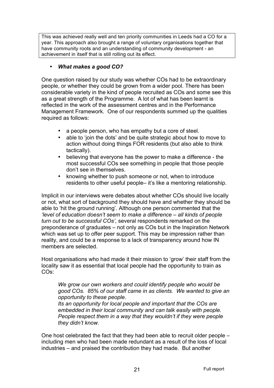This was achieved really well and ten priority communities in Leeds had a CO for a year. This approach also brought a range of voluntary organisations together that have community roots and an understanding of community development - an achievement in itself that is still rolling out its effect.

## • *What makes a good CO?*

One question raised by our study was whether COs had to be extraordinary people, or whether they could be grown from a wider pool. There has been considerable variety in the kind of people recruited as COs and some see this as a great strength of the Programme. A lot of what has been learnt is reflected in the work of the assessment centres and in the Performance Management Framework. One of our respondents summed up the qualities required as follows:

- a people person, who has empathy but a core of steel.
- able to 'join the dots' and be quite strategic about how to move to action without doing things FOR residents (but also able to think tactically).
- believing that everyone has the power to make a difference the most successful COs see something in people that those people don't see in themselves.
- knowing whether to push someone or not, when to introduce residents to other useful people– it's like a mentoring relationship.

Implicit in our interviews were debates about whether COs should live locally or not, what sort of background they should have and whether they should be able to 'hit the ground running'. Although one person commented that the *'level of education doesn't seem to make a difference – all kinds of people turn out to be successful COs'*, several respondents remarked on the preponderance of graduates – not only as COs but in the Inspiration Network which was set up to offer peer support. This may be impression rather than reality, and could be a response to a lack of transparency around how IN members are selected.

Host organisations who had made it their mission to 'grow' their staff from the locality saw it as essential that local people had the opportunity to train as COs:

*We grow our own workers and could identify people who would be good COs. 85% of our staff came in as clients. We wanted to give an opportunity to these people. Its an opportunity for local people and important that the COs are embedded in their local community and can talk easily with people. People respect them in a way that they wouldn't if they were people they didn't know*.

One host celebrated the fact that they had been able to recruit older people – including men who had been made redundant as a result of the loss of local industries – and praised the contribution they had made. But another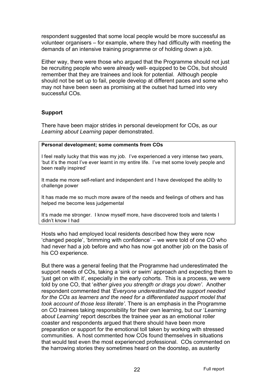respondent suggested that some local people would be more successful as volunteer organisers – for example, where they had difficulty with meeting the demands of an intensive training programme or of holding down a job.

Either way, there were those who argued that the Programme should not just be recruiting people who were already well- equipped to be COs, but should remember that they are trainees and look for potential. Although people should not be set up to fail, people develop at different paces and some who may not have been seen as promising at the outset had turned into very successful COs.

## **Support**

There have been major strides in personal development for COs, as our *Learning about Learning* paper demonstrated.

#### **Personal development; some comments from COs**

I feel really lucky that this was my job. I've experienced a very intense two years, 'but it's the most I've ever learnt in my entire life. I've met some lovely people and been really inspired'

It made me more self-reliant and independent and I have developed the ability to challenge power

It has made me so much more aware of the needs and feelings of others and has helped me become less judgemental

It's made me stronger. I know myself more, have discovered tools and talents I didn't know I had

Hosts who had employed local residents described how they were now 'changed people', 'brimming with confidence' – we were told of one CO who had never had a job before and who has now got another job on the basis of his CO experience.

But there was a general feeling that the Programme had underestimated the support needs of COs, taking a 'sink or swim' approach and expecting them to 'just get on with it', especially in the early cohorts. This is a process, we were told by one CO, that '*either gives you strength or drags you down'*. Another respondent commented that *'Everyone underestimated the support needed for the COs as learners and the need for a differentiated support model that took account of those less literate'.* There is an emphasis in the Programme on CO trainees taking responsibility for their own learning, but our '*Learning about Learning'* report describes the trainee year as an emotional roller coaster and respondents argued that there should have been more preparation or support for the emotional toll taken by working with stressed communities. A host commented how COs found themselves in situations that would test even the most experienced professional. COs commented on the harrowing stories they sometimes heard on the doorstep, as austerity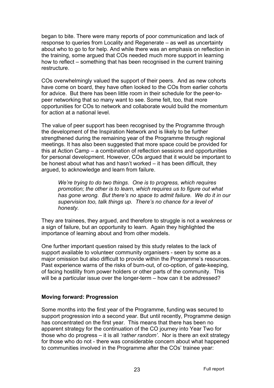began to bite. There were many reports of poor communication and lack of response to queries from Locality and Regenerate – as well as uncertainty about who to go to for help. And while there was an emphasis on reflection in the training, some argued that COs needed much more support in learning how to reflect – something that has been recognised in the current training restructure.

COs overwhelmingly valued the support of their peers. And as new cohorts have come on board, they have often looked to the COs from earlier cohorts for advice. But there has been little room in their schedule for the peer-topeer networking that so many want to see. Some felt, too, that more opportunities for COs to network and collaborate would build the momentum for action at a national level.

The value of peer support has been recognised by the Programme through the development of the Inspiration Network and is likely to be further strengthened during the remaining year of the Programme through regional meetings. It has also been suggested that more space could be provided for this at Action Camp – a combination of reflection sessions and opportunities for personal development. However, COs argued that it would be important to be honest about what has and hasn't worked – it has been difficult, they argued, to acknowledge and learn from failure.

*We're trying to do two things. One is to progress, which requires promotion; the other is to learn, which requires us to figure out what has gone wrong. But there's no space to admit failure. We do it in our supervision too, talk things up. There's no chance for a level of honesty.*

They are trainees, they argued, and therefore to struggle is not a weakness or a sign of failure, but an opportunity to learn. Again they highlighted the importance of learning about and from other models.

One further important question raised by this study relates to the lack of support available to volunteer community organisers - seen by some as a major omission but also difficult to provide within the Programme's resources. Past experience warns of the risks of burn-out, of co-option, of gate-keeping, of facing hostility from power holders or other parts of the community. This will be a particular issue over the longer-term – how can it be addressed?

## **Moving forward: Progression**

Some months into the first year of the Programme, funding was secured to support progression into a second year. But until recently, Programme design has concentrated on the first year. This means that there has been no apparent strategy for the continuation of the CO journey into Year Two for those who do progress – it is all *'rather random'*. Nor is there an exit strategy for those who do not - there was considerable concern about what happened to communities involved in the Programme after the COs' trainee year: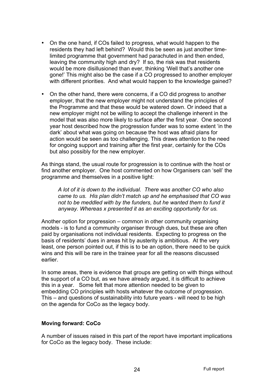- On the one hand, if COs failed to progress, what would happen to the residents they had left behind? Would this be seen as just another timelimited programme that government had parachuted in and then ended, leaving the community high and dry? If so, the risk was that residents would be more disillusioned than ever, thinking 'Well that's another one gone!' This might also be the case if a CO progressed to another employer with different priorities. And what would happen to the knowledge gained?
- On the other hand, there were concerns, if a CO did progress to another employer, that the new employer might not understand the principles of the Programme and that these would be watered down. Or indeed that a new employer might not be willing to accept the challenge inherent in the model that was also more likely to surface after the first year. One second year host described how the progression funder was to some extent 'in the dark' about what was going on because the host was afraid plans for action would be seen as too challenging. This draws attention to the need for ongoing support and training after the first year, certainly for the COs but also possibly for the new employer.

As things stand, the usual route for progression is to continue with the host or find another employer. One host commented on how Organisers can 'sell' the programme and themselves in a positive light:

*A lot of it is down to the individual. There was another CO who also came to us. His plan didn't match up and he emphasised that CO was not to be meddled with by the funders, but he wanted them to fund it anyway. Whereas x presented it as an exciting opportunity for us.*

Another option for progression – common in other community organising models - is to fund a community organiser through dues, but these are often paid by organisations not individual residents. Expecting to progress on the basis of residents' dues in areas hit by austerity is ambitious. At the very least, one person pointed out, if this is to be an option, there need to be quick wins and this will be rare in the trainee year for all the reasons discussed earlier.

In some areas, there is evidence that groups are getting on with things without the support of a CO but, as we have already argued, it is difficult to achieve this in a year. Some felt that more attention needed to be given to embedding CO principles with hosts whatever the outcome of progression. This – and questions of sustainability into future years - will need to be high on the agenda for CoCo as the legacy body.

## **Moving forward: CoCo**

A number of issues raised in this part of the report have important implications for CoCo as the legacy body. These include: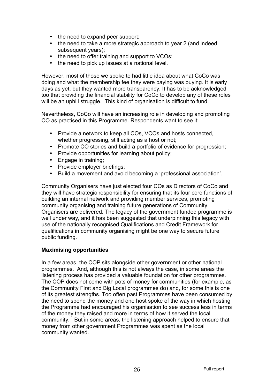- the need to expand peer support;
- the need to take a more strategic approach to year 2 (and indeed subsequent years);
- the need to offer training and support to VCOs;
- the need to pick up issues at a national level.

However, most of those we spoke to had little idea about what CoCo was doing and what the membership fee they were paying was buying. It is early days as yet, but they wanted more transparency. It has to be acknowledged too that providing the financial stability for CoCo to develop any of these roles will be an uphill struggle. This kind of organisation is difficult to fund.

Nevertheless, CoCo will have an increasing role in developing and promoting CO as practised in this Programme. Respondents want to see it:

- Provide a network to keep all COs, VCOs and hosts connected, whether progressing, still acting as a host or not;
- Promote CO stories and build a portfolio of evidence for progression;
- Provide opportunities for learning about policy;
- Engage in training;
- Provide employer briefings:
- Build a movement and avoid becoming a 'professional association'.

Community Organisers have just elected four COs as Directors of CoCo and they will have strategic responsibility for ensuring that its four core functions of building an internal network and providing member services, promoting community organising and training future generations of Community Organisers are delivered. The legacy of the government funded programme is well under way, and it has been suggested that underpinning this legacy with use of the nationally recognised Qualifications and Credit Framework for qualifications in community organising might be one way to secure future public funding.

#### **Maximising opportunities**

In a few areas, the COP sits alongside other government or other national programmes. And, although this is not always the case, in some areas the listening process has provided a valuable foundation for other programmes. The COP does not come with pots of money for communities (for example, as the Community First and Big Local programmes do) and, for some this is one of its greatest strengths. Too often past Programmes have been consumed by the need to spend the money and one host spoke of the way in which hosting the Programme had encouraged his organisation to see success less in terms of the money they raised and more in terms of how it served the local community. But in some areas, the listening approach helped to ensure that money from other government Programmes was spent as the local community wanted.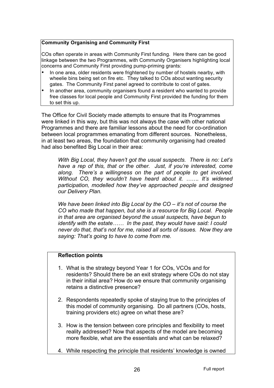#### **Community Organising and Community First**

COs often operate in areas with Community First funding. Here there can be good linkage between the two Programmes, with Community Organisers highlighting local concerns and Community First providing pump-priming grants:

- In one area, older residents were frightened by number of hostels nearby, with wheelie bins being set on fire etc. They talked to COs about wanting security gates. The Community First panel agreed to contribute to cost of gates.
- In another area, community organisers found a resident who wanted to provide free classes for local people and Community First provided the funding for them to set this up.

The Office for Civil Society made attempts to ensure that its Programmes were linked in this way, but this was not always the case with other national Programmes and there are familiar lessons about the need for co-ordination between local programmes emanating from different sources. Nonetheless, in at least two areas, the foundation that community organising had created had also benefited Big Local in their area:

*With Big Local, they haven't got the usual suspects. There is no: Let's have a rep of this, that or the other. Just, if you're interested, come along. There's a willingness on the part of people to get involved. Without CO, they wouldn't have heard about it. ……. It's widened participation, modelled how they've approached people and designed our Delivery Plan.*

*We have been linked into Big Local by the CO – it's not of course the CO who made that happen, but she is a resource for Big Local. People in that area are organised beyond the usual suspects, have begun to identify with the estate…… In the past, they would have said: I could never do that, that's not for me, raised all sorts of issues. Now they are saying: That's going to have to come from me.*

## **Reflection points**

- 1. What is the strategy beyond Year 1 for COs, VCOs and for residents? Should there be an exit strategy where COs do not stay in their initial area? How do we ensure that community organising retains a distinctive presence?
- 2. Respondents repeatedly spoke of staying true to the principles of this model of community organising. Do all partners (COs, hosts, training providers etc) agree on what these are?
- 3. How is the tension between core principles and flexibility to meet reality addressed? Now that aspects of the model are becoming more flexible, what are the essentials and what can be relaxed?
- 4. While respecting the principle that residents' knowledge is owned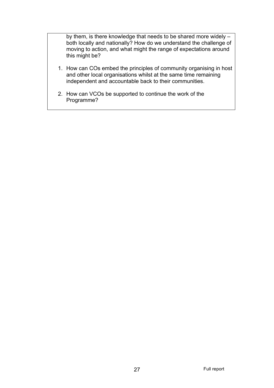by them, is there knowledge that needs to be shared more widely – both locally and nationally? How do we understand the challenge of moving to action, and what might the range of expectations around this might be?

- 1. How can COs embed the principles of community organising in host and other local organisations whilst at the same time remaining independent and accountable back to their communities.
- 2. How can VCOs be supported to continue the work of the Programme?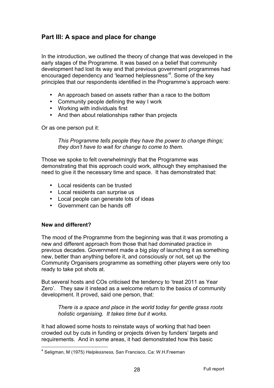# **Part III: A space and place for change**

In the introduction, we outlined the theory of change that was developed in the early stages of the Programme. It was based on a belief that community development had lost its way and that previous government programmes had encouraged dependency and 'learned helplessness'<sup>4</sup>. Some of the key principles that our respondents identified in the Programme's approach were:

- An approach based on assets rather than a race to the bottom
- Community people defining the way I work
- Working with individuals first
- And then about relationships rather than projects

Or as one person put it:

*This Programme tells people they have the power to change things; they don't have to wait for change to come to them.*

Those we spoke to felt overwhelmingly that the Programme was demonstrating that this approach could work, although they emphasised the need to give it the necessary time and space. It has demonstrated that:

- Local residents can be trusted
- Local residents can surprise us
- Local people can generate lots of ideas
- Government can be hands off

#### **New and different?**

The mood of the Programme from the beginning was that it was promoting a new and different approach from those that had dominated practice in previous decades. Government made a big play of launching it as something new, better than anything before it, and consciously or not, set up the Community Organisers programme as something other players were only too ready to take pot shots at.

But several hosts and COs criticised the tendency to 'treat 2011 as Year Zero'. They saw it instead as a welcome return to the basics of community development. It proved, said one person, that:

*There is a space and place in the world today for gentle grass roots holistic organising. It takes time but it works.*

It had allowed some hosts to reinstate ways of working that had been crowded out by cuts in funding or projects driven by funders' targets and requirements. And in some areas, it had demonstrated how this basic

 <sup>4</sup> Seligman, M (1975) *Helplessness,* San Francisco, Ca: W.H.Freeman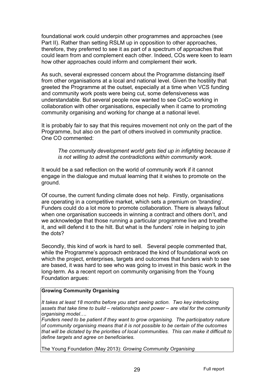foundational work could underpin other programmes and approaches (see Part II). Rather than setting RSLM up in opposition to other approaches, therefore, they preferred to see it as part of a spectrum of approaches that could learn from and complement each other. Indeed, COs were keen to learn how other approaches could inform and complement their work.

As such, several expressed concern about the Programme distancing itself from other organisations at a local and national level. Given the hostility that greeted the Programme at the outset, especially at a time when VCS funding and community work posts were being cut, some defensiveness was understandable. But several people now wanted to see CoCo working in collaboration with other organisations, especially when it came to promoting community organising and working for change at a national level.

It is probably fair to say that this requires movement not only on the part of the Programme, but also on the part of others involved in community practice. One CO commented:

*The community development world gets tied up in infighting because it is not willing to admit the contradictions within community work.*

It would be a sad reflection on the world of community work if it cannot engage in the dialogue and mutual learning that it wishes to promote on the ground.

Of course, the current funding climate does not help. Firstly, organisations are operating in a competitive market, which sets a premium on 'branding'. Funders could do a lot more to promote collaboration. There is always fallout when one organisation succeeds in winning a contract and others don't, and we acknowledge that those running a particular programme live and breathe it, and will defend it to the hilt. But what is the funders' role in helping to join the dots?

Secondly, this kind of work is hard to sell. Several people commented that, while the Programme's approach embraced the kind of foundational work on which the project, enterprises, targets and outcomes that funders wish to see are based, it was hard to see who was going to invest in this basic work in the long-term. As a recent report on community organising from the Young Foundation argues:

#### **Growing Community Organising**

*It takes at least 18 months before you start seeing action. Two key interlocking assets that take time to build – relationships and power – are vital for the community organising model….*

*Funders need to be patient if they want to grow organising. The participatory nature of community organising means that it is not possible to be certain of the outcomes that will be dictated by the priorities of local communities. This can make it difficult to define targets and agree on beneficiaries.* 

The Young Foundation (May 2013): *Growing Community Organising*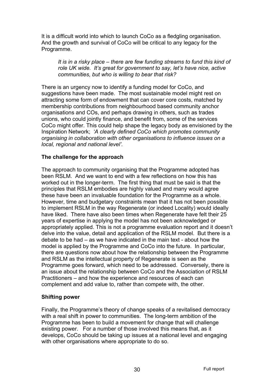It is a difficult world into which to launch CoCo as a fledgling organisation. And the growth and survival of CoCo will be critical to any legacy for the Programme.

*It is in a risky place – there are few funding streams to fund this kind of role UK wide. It's great for government to say, let's have nice, active communities, but who is willing to bear that risk?* 

There is an urgency now to identify a funding model for CoCo, and suggestions have been made. The most sustainable model might rest on attracting some form of endowment that can cover core costs, matched by membership contributions from neighbourhood based community anchor organisations and COs, and perhaps drawing in others, such as trades unions, who could jointly finance, and benefit from, some of the services CoCo might offer. This could help shape the legacy body as envisioned by the Inspiration Network; *'A clearly defined CoCo which promotes community organising in collaboration with other organisations to influence issues on a local, regional and national level'.* 

## **The challenge for the approach**

The approach to community organising that the Programme adopted has been RSLM. And we want to end with a few reflections on how this has worked out in the longer-term. The first thing that must be said is that the principles that RSLM embodies are highly valued and many would agree these have been an invaluable foundation for the Programme as a whole. However, time and budgetary constraints mean that it has not been possible to implement RSLM in the way Regenerate (or indeed Locality) would ideally have liked. There have also been times when Regenerate have felt their 25 years of expertise in applying the model has not been acknowledged or appropriately applied. This is not a programme evaluation report and it doesn't delve into the value, detail and application of the RSLM model. But there is a debate to be had – as we have indicated in the main text - about how the model is applied by the Programme and CoCo into the future. In particular, there are questions now about how the relationship between the Programme and RSLM as the intellectual property of Regenerate is seen as the Programme goes forward, which need to be addressed. Conversely, there is an issue about the relationship between CoCo and the Association of RSLM Practitioners – and how the experience and resources of each can complement and add value to, rather than compete with, the other.

#### **Shifting power**

Finally, the Programme's theory of change speaks of a revitalised democracy with a real shift in power to communities. The long-term ambition of the Programme has been to build a movement for change that will challenge existing power. For a number of those involved this means that, as it develops, CoCo should be taking up issues at a national level and engaging with other organisations where appropriate to do so.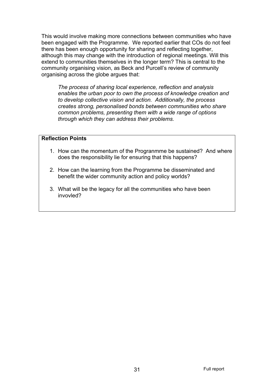This would involve making more connections between communities who have been engaged with the Programme. We reported earlier that COs do not feel there has been enough opportunity for sharing and reflecting together, although this may change with the introduction of regional meetings. Will this extend to communities themselves in the longer term? This is central to the community organising vision, as Beck and Purcell's review of community organising across the globe argues that:

*The process of sharing local experience, reflection and analysis enables the urban poor to own the process of knowledge creation and to develop collective vision and action. Additionally, the process creates strong, personalised bonds between communities who share common problems, presenting them with a wide range of options through which they can address their problems.* 

## **Reflection Points**

- 1. How can the momentum of the Progranmme be sustained? And where does the responsibility lie for ensuring that this happens?
- 2. How can the learning from the Programme be disseminated and benefit the wider community action and policy worlds?
- 3. What will be the legacy for all the communities who have been invovled?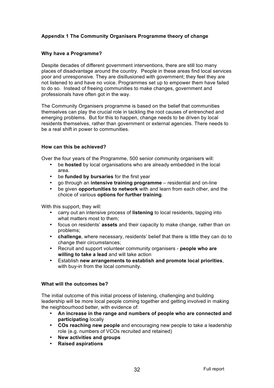#### **Appendix 1 The Community Organisers Programme theory of change**

#### **Why have a Programme?**

Despite decades of different government interventions, there are still too many places of disadvantage around the country. People in these areas find local services poor and unresponsive. They are disillusioned with government; they feel they are not listened to and have no voice. Programmes set up to empower them have failed to do so. Instead of freeing communities to make changes, government and professionals have often got in the way.

The Community Organisers programme is based on the belief that communities themselves can play the crucial role in tackling the root causes of entrenched and emerging problems. But for this to happen, change needs to be driven by local residents themselves, rather than government or external agencies. There needs to be a real shift in power to communities.

#### **How can this be achieved?**

Over the four years of the Programme, 500 senior community organisers will:

- be **hosted** by local organisations who are already embedded in the local area.
- be **funded by bursaries** for the first year
- go through an **intensive training programme** residential and on-line
- be given **opportunities to network** with and learn from each other, and the choice of various **options for further training**.

With this support, they will:

- carry out an intensive process of **listening** to local residents, tapping into what matters most to them;
- focus on residents' **assets** and their capacity to make change, rather than on problems;
- **challenge**, where necessary, residents' belief that there is little they can do to change their circumstances;
- Recruit and support volunteer community organisers **people who are willing to take a lead** and will take action
- Establish **new arrangements to establish and promote local priorities**, with buy-in from the local community.

#### **What will the outcomes be?**

The initial outcome of this initial process of listening, challenging and building leadership will be more local people coming together and getting involved in making the neighbourhood better, with evidence of:

- **An increase in the range and numbers of people who are connected and participating** locally
- **COs reaching new people** and encouraging new people to take a leadership role (e.g. numbers of VCOs recruited and retained)
- **New activities and groups**
- **Raised aspirations**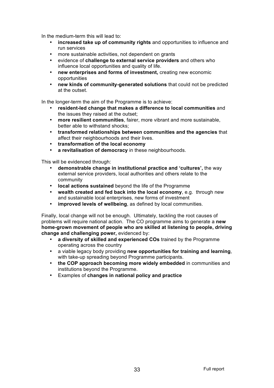In the medium-term this will lead to:

- **increased take up of community rights** and opportunities to influence and run services
- more sustainable activities, not dependent on grants
- evidence of **challenge to external service providers** and others who influence local opportunities and quality of life.
- **new enterprises and forms of investment,** creating new economic opportunities
- **new kinds of community-generated solutions** that could not be predicted at the outset.

In the longer-term the aim of the Programme is to achieve:

- **resident-led change that makes a difference to local communities** and the issues they raised at the outset;
- **more resilient communities**, fairer, more vibrant and more sustainable, better able to withstand shocks;
- **transformed relationships between communities and the agencies** that affect their neighbourhoods and their lives.
- **transformation of the local economy**
- **a revitalisation of democracy** in these neighbourhoods.

This will be evidenced through:

- **demonstrable change in institutional practice and 'cultures',** the way external service providers, local authorities and others relate to the community
- **local actions sustained** beyond the life of the Programme
- **wealth created and fed back into the local economy**, e.g. through new and sustainable local enterprises, new forms of investment
- **improved levels of wellbeing**, as defined by local communities.

Finally, local change will not be enough. Ultimately, tackling the root causes of problems will require national action. The CO programme aims to generate a **new home-grown movement of people who are skilled at listening to people, driving change and challenging power,** evidenced by:

- **a diversity of skilled and experienced COs** trained by the Programme operating across the country
- a viable legacy body providing **new opportunities for training and learning**, with take-up spreading beyond Programme participants.
- **the COP approach becoming more widely embedded** in communities and institutions beyond the Programme.
- Examples of **changes in national policy and practice**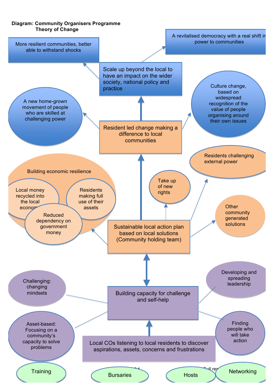#### **Diagram: Community Organisers Programme Theory of Change**